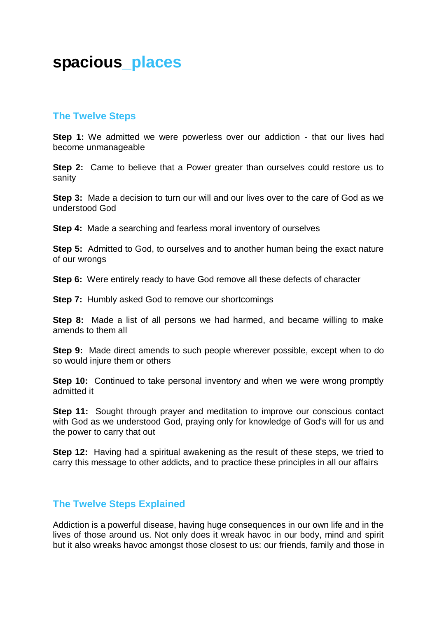## **spacious\_places**

## **The Twelve Steps**

**Step 1:** We admitted we were powerless over our addiction - that our lives had become unmanageable

**Step 2:** Came to believe that a Power greater than ourselves could restore us to sanity

**Step 3:** Made a decision to turn our will and our lives over to the care of God as we understood God

**Step 4:** Made a searching and fearless moral inventory of ourselves

**Step 5:** Admitted to God, to ourselves and to another human being the exact nature of our wrongs

**Step 6:** Were entirely ready to have God remove all these defects of character

**Step 7:** Humbly asked God to remove our shortcomings

**Step 8:** Made a list of all persons we had harmed, and became willing to make amends to them all

**Step 9:** Made direct amends to such people wherever possible, except when to do so would injure them or others

**Step 10:** Continued to take personal inventory and when we were wrong promptly admitted it

**Step 11:** Sought through prayer and meditation to improve our conscious contact with God as we understood God, praying only for knowledge of God's will for us and the power to carry that out

**Step 12:** Having had a spiritual awakening as the result of these steps, we tried to carry this message to other addicts, and to practice these principles in all our affairs

## **The Twelve Steps Explained**

Addiction is a powerful disease, having huge consequences in our own life and in the lives of those around us. Not only does it wreak havoc in our body, mind and spirit but it also wreaks havoc amongst those closest to us: our friends, family and those in